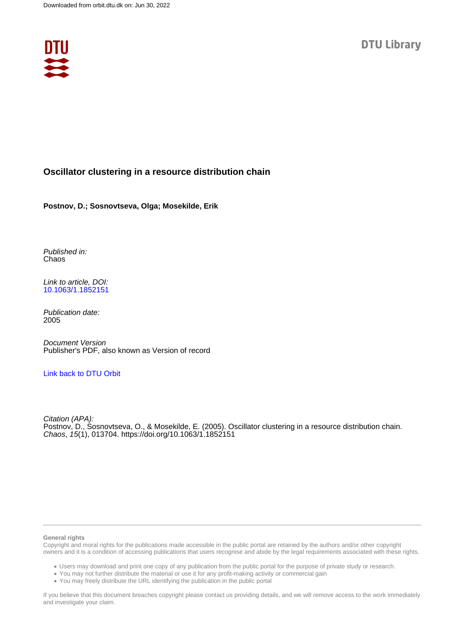

# **Oscillator clustering in a resource distribution chain**

**Postnov, D.; Sosnovtseva, Olga; Mosekilde, Erik**

Published in: Chaos

Link to article, DOI: [10.1063/1.1852151](https://doi.org/10.1063/1.1852151)

Publication date: 2005

Document Version Publisher's PDF, also known as Version of record

# [Link back to DTU Orbit](https://orbit.dtu.dk/en/publications/4079fd1f-2fc9-4a9c-bcec-2d07a6efe163)

Citation (APA): Postnov, D., Sosnovtseva, O., & Mosekilde, E. (2005). Oscillator clustering in a resource distribution chain. Chaos, 15(1), 013704.<https://doi.org/10.1063/1.1852151>

#### **General rights**

Copyright and moral rights for the publications made accessible in the public portal are retained by the authors and/or other copyright owners and it is a condition of accessing publications that users recognise and abide by the legal requirements associated with these rights.

Users may download and print one copy of any publication from the public portal for the purpose of private study or research.

- You may not further distribute the material or use it for any profit-making activity or commercial gain
- You may freely distribute the URL identifying the publication in the public portal

If you believe that this document breaches copyright please contact us providing details, and we will remove access to the work immediately and investigate your claim.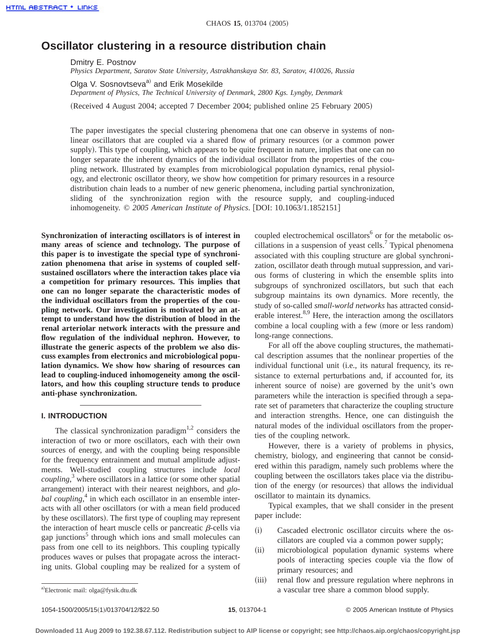# **Oscillator clustering in a resource distribution chain**

Dmitry E. Postnov

*Physics Department, Saratov State University, Astrakhanskaya Str. 83, Saratov, 410026, Russia*

Olga V. Sosnovtseva<sup>a)</sup> and Erik Mosekilde

*Department of Physics, The Technical University of Denmark, 2800 Kgs. Lyngby, Denmark*

(Received 4 August 2004; accepted 7 December 2004; published online 25 February 2005)

The paper investigates the special clustering phenomena that one can observe in systems of nonlinear oscillators that are coupled via a shared flow of primary resources (or a common power supply). This type of coupling, which appears to be quite frequent in nature, implies that one can no longer separate the inherent dynamics of the individual oscillator from the properties of the coupling network. Illustrated by examples from microbiological population dynamics, renal physiology, and electronic oscillator theory, we show how competition for primary resources in a resource distribution chain leads to a number of new generic phenomena, including partial synchronization, sliding of the synchronization region with the resource supply, and coupling-induced inhomogeneity. © 2005 American Institute of Physics. [DOI: 10.1063/1.1852151]

**Synchronization of interacting oscillators is of interest in many areas of science and technology. The purpose of this paper is to investigate the special type of synchronization phenomena that arise in systems of coupled selfsustained oscillators where the interaction takes place via a competition for primary resources. This implies that one can no longer separate the characteristic modes of the individual oscillators from the properties of the coupling network. Our investigation is motivated by an attempt to understand how the distribution of blood in the renal arteriolar network interacts with the pressure and flow regulation of the individual nephron. However, to illustrate the generic aspects of the problem we also discuss examples from electronics and microbiological population dynamics. We show how sharing of resources can lead to coupling-induced inhomogeneity among the oscillators, and how this coupling structure tends to produce anti-phase synchronization.**

## **I. INTRODUCTION**

The classical synchronization paradigm<sup>1,2</sup> considers the interaction of two or more oscillators, each with their own sources of energy, and with the coupling being responsible for the frequency entrainment and mutual amplitude adjustments. Well-studied coupling structures include *local coupling*,<sup>3</sup> where oscillators in a lattice (or some other spatial arrangement) interact with their nearest neighbors, and *glo*bal coupling,<sup>4</sup> in which each oscillator in an ensemble interacts with all other oscillators (or with a mean field produced by these oscillators). The first type of coupling may represent the interaction of heart muscle cells or pancreatic  $\beta$ -cells via gap junctions<sup>5</sup> through which ions and small molecules can pass from one cell to its neighbors. This coupling typically produces waves or pulses that propagate across the interacting units. Global coupling may be realized for a system of coupled electrochemical oscillators<sup>6</sup> or for the metabolic oscillations in a suspension of yeast cells.<sup>7</sup> Typical phenomena associated with this coupling structure are global synchronization, oscillator death through mutual suppression, and various forms of clustering in which the ensemble splits into subgroups of synchronized oscillators, but such that each subgroup maintains its own dynamics. More recently, the study of so-called *small-world networks* has attracted considerable interest. $8,9$  Here, the interaction among the oscillators combine a local coupling with a few (more or less random) long-range connections.

For all off the above coupling structures, the mathematical description assumes that the nonlinear properties of the individual functional unit (i.e., its natural frequency, its resistance to external perturbations and, if accounted for, its inherent source of noise) are governed by the unit's own parameters while the interaction is specified through a separate set of parameters that characterize the coupling structure and interaction strengths. Hence, one can distinguish the natural modes of the individual oscillators from the properties of the coupling network.

However, there is a variety of problems in physics, chemistry, biology, and engineering that cannot be considered within this paradigm, namely such problems where the coupling between the oscillators takes place via the distribution of the energy (or resources) that allows the individual oscillator to maintain its dynamics.

Typical examples, that we shall consider in the present paper include:

- (i) Cascaded electronic oscillator circuits where the oscillators are coupled via a common power supply;
- (ii) microbiological population dynamic systems where pools of interacting species couple via the flow of primary resources; and
- (iii) renal flow and pressure regulation where nephrons in a vascular tree share a common blood supply.

Electronic mail: olga@fysik.dtu.dk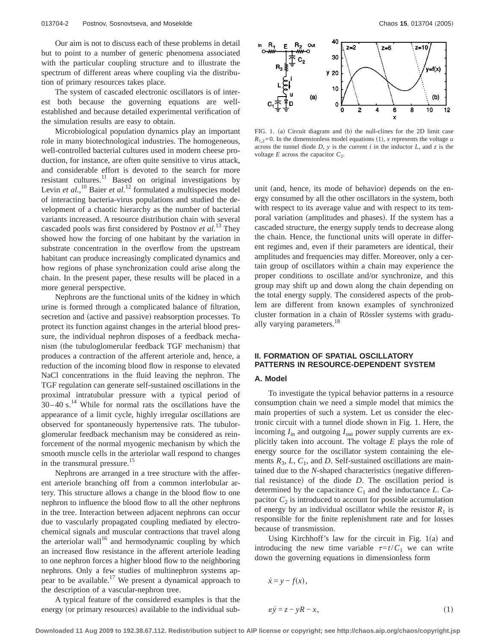Our aim is not to discuss each of these problems in detail but to point to a number of generic phenomena associated with the particular coupling structure and to illustrate the spectrum of different areas where coupling via the distribution of primary resources takes place.

The system of cascaded electronic oscillators is of interest both because the governing equations are wellestablished and because detailed experimental verification of the simulation results are easy to obtain.

Microbiological population dynamics play an important role in many biotechnological industries. The homogeneous, well-controlled bacterial cultures used in modern cheese production, for instance, are often quite sensitive to virus attack, and considerable effort is devoted to the search for more resistant cultures.<sup>11</sup> Based on original investigations by Levin *et al.*,<sup>10</sup> Baier *et al.*<sup>12</sup> formulated a multispecies model of interacting bacteria-virus populations and studied the development of a chaotic hierarchy as the number of bacterial variants increased. A resource distribution chain with several cascaded pools was first considered by Postnov *et al.*<sup>13</sup> They showed how the forcing of one habitant by the variation in substrate concentration in the overflow from the upstream habitant can produce increasingly complicated dynamics and how regions of phase synchronization could arise along the chain. In the present paper, these results will be placed in a more general perspective.

Nephrons are the functional units of the kidney in which urine is formed through a complicated balance of filtration, secretion and (active and passive) reabsorption processes. To protect its function against changes in the arterial blood pressure, the individual nephron disposes of a feedback mechanism (the tubuloglomerular feedback TGF mechanism) that produces a contraction of the afferent arteriole and, hence, a reduction of the incoming blood flow in response to elevated NaCl concentrations in the fluid leaving the nephron. The TGF regulation can generate self-sustained oscillations in the proximal intratubular pressure with a typical period of  $30-40$  s.<sup>14</sup> While for normal rats the oscillations have the appearance of a limit cycle, highly irregular oscillations are observed for spontaneously hypertensive rats. The tubulorglomerular feedback mechanism may be considered as reinforcement of the normal myogenic mechanism by which the smooth muscle cells in the arteriolar wall respond to changes in the transmural pressure.<sup>15</sup>

Nephrons are arranged in a tree structure with the afferent arteriole branching off from a common interlobular artery. This structure allows a change in the blood flow to one nephron to influence the blood flow to all the other nephrons in the tree. Interaction between adjacent nephrons can occur due to vascularly propagated coupling mediated by electrochemical signals and muscular contractions that travel along the arteriolar wall<sup>16</sup> and hermodynamic coupling by which an increased flow resistance in the afferent arteriole leading to one nephron forces a higher blood flow to the neighboring nephrons. Only a few studies of multinephron systems appear to be available.<sup>17</sup> We present a dynamical approach to the description of a vascular-nephron tree.

A typical feature of the considered examples is that the energy (or primary resources) available to the individual sub-



FIG. 1. (a) Circuit diagram and (b) the null-clines for the 2D limit case  $R_{12}=0$ . In the dimensionless model equations (1), *x* represents the voltage *u* across the tunnel diode  $D$ ,  $y$  is the current  $i$  in the inductor  $L$ , and  $z$  is the voltage  $E$  across the capacitor  $C_2$ .

unit (and, hence, its mode of behavior) depends on the energy consumed by all the other oscillators in the system, both with respect to its average value and with respect to its temporal variation (amplitudes and phases). If the system has a cascaded structure, the energy supply tends to decrease along the chain. Hence, the functional units will operate in different regimes and, even if their parameters are identical, their amplitudes and frequencies may differ. Moreover, only a certain group of oscillators within a chain may experience the proper conditions to oscillate and/or synchronize, and this group may shift up and down along the chain depending on the total energy supply. The considered aspects of the problem are different from known examples of synchronized cluster formation in a chain of Rössler systems with gradually varying parameters.<sup>18</sup>

# **II. FORMATION OF SPATIAL OSCILLATORY PATTERNS IN RESOURCE-DEPENDENT SYSTEM**

## **A. Model**

To investigate the typical behavior patterns in a resource consumption chain we need a simple model that mimics the main properties of such a system. Let us consider the electronic circuit with a tunnel diode shown in Fig. 1. Here, the incoming  $I_{\text{in}}$  and outgoing  $I_{\text{out}}$  power supply currents are explicitly taken into account. The voltage *E* plays the role of energy source for the oscillator system containing the elements  $R_3$ ,  $L$ ,  $C_1$ , and  $D$ . Self-sustained oscillations are maintained due to the *N*-shaped characteristics (negative differential resistance) of the diode  $D$ . The oscillation period is determined by the capacitance  $C_1$  and the inductance  $L$ . Capacitor  $C_2$  is introduced to account for possible accumulation of energy by an individual oscillator while the resistor  $R_1$  is responsible for the finite replenishment rate and for losses because of transmission.

Using Kirchhoff's law for the circuit in Fig.  $1(a)$  and introducing the new time variable  $\tau=t/C_1$  we can write down the governing equations in dimensionless form

$$
\begin{aligned}\n\dot{x} &= y - f(x), \\
\varepsilon \dot{y} &= z - yR - x,\n\end{aligned} \tag{1}
$$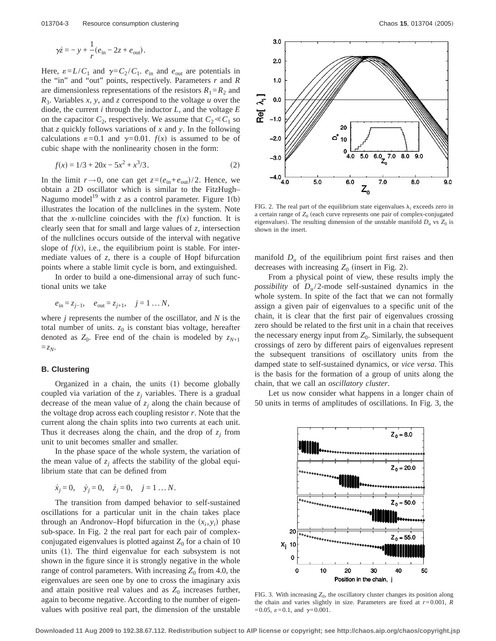$$
\gamma \dot{z} = -y + \frac{1}{r} (e_{\text{in}} - 2z + e_{\text{out}}).
$$

Here,  $\varepsilon = L/C_1$  and  $\gamma = C_2/C_1$ .  $e_{\text{in}}$  and  $e_{\text{out}}$  are potentials in the "in" and "out" points, respectively. Parameters *r* and *R* are dimensionless representations of the resistors  $R_1 = R_2$  and *R*3. Variables *x*, *y*, and *z* correspond to the voltage *u* over the diode, the current *i* through the inductor *L*, and the voltage *E* on the capacitor  $C_2$ , respectively. We assume that  $C_2 \ll C_1$  so that *z* quickly follows variations of *x* and *y*. In the following calculations  $\varepsilon = 0.1$  and  $\gamma = 0.01$ .  $f(x)$  is assumed to be of cubic shape with the nonlinearity chosen in the form:

$$
f(x) = 1/3 + 20x - 5x^2 + x^3/3.
$$
 (2)

In the limit  $r \rightarrow 0$ , one can get  $z = (e_{in} + e_{out})/2$ . Hence, we obtain a 2D oscillator which is similar to the FitzHugh– Nagumo model<sup>19</sup> with *z* as a control parameter. Figure 1(b) illustrates the location of the nullclines in the system. Note that the *x*-nullcline coincides with the  $f(x)$  function. It is clearly seen that for small and large values of *z*, intersection of the nullclines occurs outside of the interval with negative slope of  $f(x)$ , i.e., the equilibrium point is stable. For intermediate values of *z*, there is a couple of Hopf bifurcation points where a stable limit cycle is born, and extinguished.

In order to build a one-dimensional array of such functional units we take

$$
e_{in} = z_{j-1}, \quad e_{out} = z_{j+1}, \quad j = 1 \dots N,
$$

where *j* represents the number of the oscillator, and *N* is the total number of units.  $z_0$  is constant bias voltage, hereafter denoted as  $Z_0$ . Free end of the chain is modeled by  $z_{N+1}$  $=z_N$ .

## **B. Clustering**

Organized in a chain, the units  $(1)$  become globally coupled via variation of the  $z_i$  variables. There is a gradual decrease of the mean value of  $z_i$  along the chain because of the voltage drop across each coupling resistor *r*. Note that the current along the chain splits into two currents at each unit. Thus it decreases along the chain, and the drop of  $z_i$  from unit to unit becomes smaller and smaller.

In the phase space of the whole system, the variation of the mean value of  $z_i$  affects the stability of the global equilibrium state that can be defined from

$$
\dot{x}_j = 0
$$
,  $\dot{y}_j = 0$ ,  $\dot{z}_j = 0$ ,  $j = 1 ... N$ .

The transition from damped behavior to self-sustained oscillations for a particular unit in the chain takes place through an Andronov–Hopf bifurcation in the  $(x_i, y_i)$  phase sub-space. In Fig. 2 the real part for each pair of complexconjugated eigenvalues is plotted against  $Z_0$  for a chain of 10 units  $(1)$ . The third eigenvalue for each subsystem is not shown in the figure since it is strongly negative in the whole range of control parameters. With increasing  $Z_0$  from 4.0, the eigenvalues are seen one by one to cross the imaginary axis and attain positive real values and as  $Z_0$  increases further, again to become negative. According to the number of eigenvalues with positive real part, the dimension of the unstable



FIG. 2. The real part of the equilibrium state eigenvalues  $\lambda_i$  exceeds zero in a certain range of  $Z_0$  (each curve represents one pair of complex-conjugated eigenvalues). The resulting dimension of the unstable manifold  $D_u$  vs  $Z_0$  is shown in the insert.

manifold  $D_u$  of the equilibrium point first raises and then decreases with increasing  $Z_0$  (insert in Fig. 2).

From a physical point of view, these results imply the *possibility* of  $D<sub>u</sub>/2$ -mode self-sustained dynamics in the whole system. In spite of the fact that we can not formally assign a given pair of eigenvalues to a specific unit of the chain, it is clear that the first pair of eigenvalues crossing zero should be related to the first unit in a chain that receives the necessary energy input from  $Z_0$ . Similarly, the subsequent crossings of zero by different pairs of eigenvalues represent the subsequent transitions of oscillatory units from the damped state to self-sustained dynamics, or *vice versa*. This is the basis for the formation of a group of units along the chain, that we call an *oscillatory cluster*.

Let us now consider what happens in a longer chain of 50 units in terms of amplitudes of oscillations. In Fig. 3, the



FIG. 3. With increasing  $Z_0$ , the oscillatory cluster changes its position along the chain and varies slightly in size. Parameters are fixed at *r*=0.001, *R*  $=0.05, \ \varepsilon = 0.1, \text{ and } \gamma = 0.001.$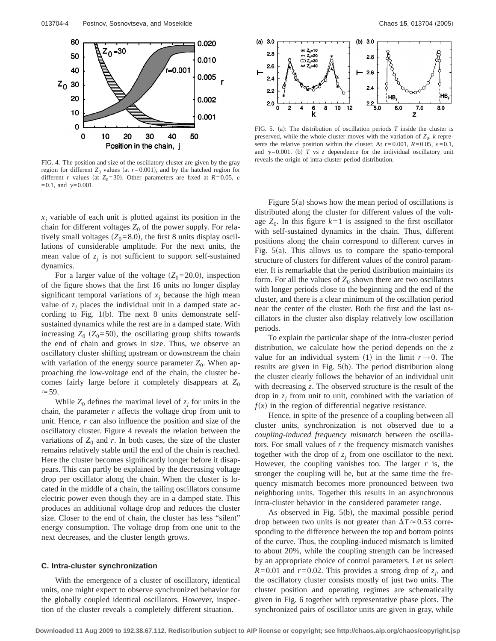

FIG. 4. The position and size of the oscillatory cluster are given by the gray region for different  $Z_0$  values (at  $r=0.001$ ), and by the hatched region for different *r* values (at  $Z_0$ =30). Other parameters are fixed at  $R$ =0.05,  $\varepsilon$  $=0.1$ , and  $\gamma = 0.001$ .

 $x_i$  variable of each unit is plotted against its position in the chain for different voltages  $Z_0$  of the power supply. For relatively small voltages  $(Z_0=8.0)$ , the first 8 units display oscillations of considerable amplitude. For the next units, the mean value of  $z_i$  is not sufficient to support self-sustained dynamics.

For a larger value of the voltage  $(Z_0=20.0)$ , inspection of the figure shows that the first 16 units no longer display significant temporal variations of  $x_i$  because the high mean value of  $z_i$  places the individual unit in a damped state according to Fig. 1(b). The next 8 units demonstrate selfsustained dynamics while the rest are in a damped state. With increasing  $Z_0$  ( $Z_0$ =50), the oscillating group shifts towards the end of chain and grows in size. Thus, we observe an oscillatory cluster shifting upstream or downstream the chain with variation of the energy source parameter  $Z_0$ . When approaching the low-voltage end of the chain, the cluster becomes fairly large before it completely disappears at  $Z_0$  $\approx$  59.

While  $Z_0$  defines the maximal level of  $z_i$  for units in the chain, the parameter *r* affects the voltage drop from unit to unit. Hence, *r* can also influence the position and size of the oscillatory cluster. Figure 4 reveals the relation between the variations of  $Z_0$  and  $r$ . In both cases, the size of the cluster remains relatively stable until the end of the chain is reached. Here the cluster becomes significantly longer before it disappears. This can partly be explained by the decreasing voltage drop per oscillator along the chain. When the cluster is located in the middle of a chain, the tailing oscillators consume electric power even though they are in a damped state. This produces an additional voltage drop and reduces the cluster size. Closer to the end of chain, the cluster has less "silent" energy consumption. The voltage drop from one unit to the next decreases, and the cluster length grows.

# **C. Intra-cluster synchronization**

With the emergence of a cluster of oscillatory, identical units, one might expect to observe synchronized behavior for the globally coupled identical oscillators. However, inspection of the cluster reveals a completely different situation.



FIG. 5. (a): The distribution of oscillation periods  $T$  inside the cluster is preserved, while the whole cluster moves with the variation of  $Z_0$ . *k* represents the relative position within the cluster. At  $r=0.001$ ,  $R=0.05$ ,  $\varepsilon=0.1$ , and  $\gamma = 0.001$ . (b) *T* vs *z* dependence for the individual oscillatory unit reveals the origin of intra-cluster period distribution.

Figure  $5(a)$  shows how the mean period of oscillations is distributed along the cluster for different values of the voltage  $Z_0$ . In this figure  $k=1$  is assigned to the first oscillator with self-sustained dynamics in the chain. Thus, different positions along the chain correspond to different curves in Fig.  $5(a)$ . This allows us to compare the spatio-temporal structure of clusters for different values of the control parameter. It is remarkable that the period distribution maintains its form. For all the values of  $Z_0$  shown there are two oscillators with longer periods close to the beginning and the end of the cluster, and there is a clear minimum of the oscillation period near the center of the cluster. Both the first and the last oscillators in the cluster also display relatively low oscillation periods.

To explain the particular shape of the intra-cluster period distribution, we calculate how the period depends on the *z* value for an individual system (1) in the limit  $r\rightarrow 0$ . The results are given in Fig.  $5(b)$ . The period distribution along the cluster clearly follows the behavior of an individual unit with decreasing *z*. The observed structure is the result of the drop in  $z_i$  from unit to unit, combined with the variation of  $f(x)$  in the region of differential negative resistance.

Hence, in spite of the presence of a coupling between all cluster units, synchronization is not observed due to a *coupling-induced frequency mismatch* between the oscillators. For small values of *r* the frequency mismatch vanishes together with the drop of  $z_i$  from one oscillator to the next. However, the coupling vanishes too. The larger *r* is, the stronger the coupling will be, but at the same time the frequency mismatch becomes more pronounced between two neighboring units. Together this results in an asynchronous intra-cluster behavior in the considered parameter range.

As observed in Fig.  $5(b)$ , the maximal possible period drop between two units is not greater than  $\Delta T \approx 0.53$  corresponding to the difference between the top and bottom points of the curve. Thus, the coupling-induced mismatch is limited to about 20%, while the coupling strength can be increased by an appropriate choice of control parameters. Let us select  $R=0.01$  and  $r=0.02$ . This provides a strong drop of  $z_i$ , and the oscillatory cluster consists mostly of just two units. The cluster position and operating regimes are schematically given in Fig. 6 together with representative phase plots. The synchronized pairs of oscillator units are given in gray, while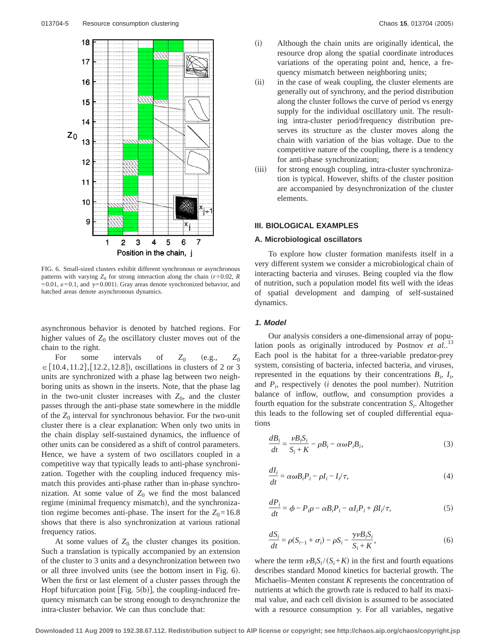

FIG. 6. Small-sized clusters exhibit different synchronous or asynchronous patterns with varying  $Z_0$  for strong interaction along the chain  $(r=0.02, R)$  $=0.01$ ,  $\varepsilon = 0.1$ , and  $\gamma = 0.001$ ). Gray areas denote synchronized behavior, and hatched areas denote asynchronous dynamics.

asynchronous behavior is denoted by hatched regions. For higher values of  $Z_0$  the oscillatory cluster moves out of the chain to the right.

For some intervals of  $Z_0$  (e.g.,  $Z_0$  $\in$  [10.4,11.2], [12.2,12.8]), oscillations in clusters of 2 or 3 units are synchronized with a phase lag between two neighboring units as shown in the inserts. Note, that the phase lag in the two-unit cluster increases with  $Z_0$ , and the cluster passes through the anti-phase state somewhere in the middle of the  $Z_0$  interval for synchronous behavior. For the two-unit cluster there is a clear explanation: When only two units in the chain display self-sustained dynamics, the influence of other units can be considered as a shift of control parameters. Hence, we have a system of two oscillators coupled in a competitive way that typically leads to anti-phase synchronization. Together with the coupling induced frequency mismatch this provides anti-phase rather than in-phase synchronization. At some value of  $Z_0$  we find the most balanced regime (minimal frequency mismatch), and the synchronization regime becomes anti-phase. The insert for the  $Z_0$ =16.8 shows that there is also synchronization at various rational frequency ratios.

At some values of  $Z_0$  the cluster changes its position. Such a translation is typically accompanied by an extension of the cluster to 3 units and a desynchronization between two or all three involved units (see the bottom insert in Fig.  $6$ ). When the first or last element of a cluster passes through the Hopf bifurcation point  $[Fig. 5(b)]$ , the coupling-induced frequency mismatch can be strong enough to desynchronize the intra-cluster behavior. We can thus conclude that:

- (i) Although the chain units are originally identical, the resource drop along the spatial coordinate introduces variations of the operating point and, hence, a frequency mismatch between neighboring units;
- (ii) in the case of weak coupling, the cluster elements are generally out of synchrony, and the period distribution along the cluster follows the curve of period vs energy supply for the individual oscillatory unit. The resulting intra-cluster period/frequency distribution preserves its structure as the cluster moves along the chain with variation of the bias voltage. Due to the competitive nature of the coupling, there is a tendency for anti-phase synchronization;
- (iii) for strong enough coupling, intra-cluster synchronization is typical. However, shifts of the cluster position are accompanied by desynchronization of the cluster elements.

#### **III. BIOLOGICAL EXAMPLES**

#### **A. Microbiological oscillators**

To explore how cluster formation manifests itself in a very different system we consider a microbiological chain of interacting bacteria and viruses. Being coupled via the flow of nutrition, such a population model fits well with the ideas of spatial development and damping of self-sustained dynamics.

#### **1. Model**

Our analysis considers a one-dimensional array of population pools as originally introduced by Postnov *et al.*. 13 Each pool is the habitat for a three-variable predator-prey system, consisting of bacteria, infected bacteria, and viruses, represented in the equations by their concentrations  $B_i$ ,  $I_i$ , and  $P_i$ , respectively ( $i$  denotes the pool number). Nutrition balance of inflow, outflow, and consumption provides a fourth equation for the substrate concentration *Si* . Altogether this leads to the following set of coupled differential equations

$$
\frac{dB_i}{dt} = \frac{\nu B_i S_i}{S_i + K} - \rho B_i - \alpha \omega P_i B_i,
$$
\n(3)

$$
\frac{dI_i}{dt} = \alpha \omega B_i P_i - \rho I_i - I_i / \tau,
$$
\n(4)

$$
\frac{dP_i}{dt} = \phi - P_i \rho - \alpha B_i P_i - \alpha I_i P_i + \beta I_i / \tau,
$$
\n(5)

$$
\frac{dS_i}{dt} = \rho(S_{i-1} + \sigma_i) - \rho S_i - \frac{\gamma \nu B_i S_i}{S_i + K},\tag{6}
$$

where the term  $\nu B_i S_i / (S_i + K)$  in the first and fourth equations describes standard Monod kinetics for bacterial growth. The Michaelis–Menten constant *K* represents the concentration of nutrients at which the growth rate is reduced to half its maximal value, and each cell division is assumed to be associated with a resource consumption  $\gamma$ . For all variables, negative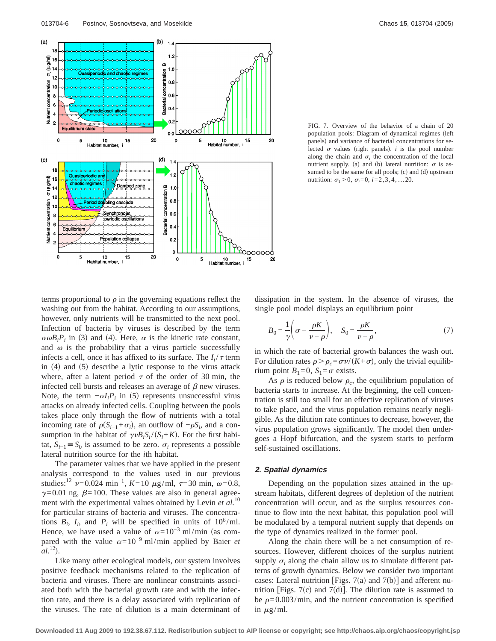

FIG. 7. Overview of the behavior of a chain of 20 population pools: Diagram of dynamical regimes (left panels) and variance of bacterial concentrations for selected  $\sigma$  values (right panels). *i* is the pool number along the chain and  $\sigma_i$  the concentration of the local nutrient supply. (a) and (b) lateral nutrition:  $\sigma$  is assumed to be the same for all pools;  $(c)$  and  $(d)$  upstream nutrition:  $\sigma_1$ >0,  $\sigma_i$ =0, *i*=2,3,4, ...20.

terms proportional to  $\rho$  in the governing equations reflect the washing out from the habitat. According to our assumptions, however, only nutrients will be transmitted to the next pool. Infection of bacteria by viruses is described by the term  $\alpha \omega B_i P_i$  in (3) and (4). Here,  $\alpha$  is the kinetic rate constant, and  $\omega$  is the probability that a virus particle successfully infects a cell, once it has affixed to its surface. The  $I_i/\tau$  term in  $(4)$  and  $(5)$  describe a lytic response to the virus attack where, after a latent period  $\tau$  of the order of 30 min, the infected cell bursts and releases an average of  $\beta$  new viruses. Note, the term  $-\alpha I_i P_i$  in (5) represents unsuccessful virus attacks on already infected cells. Coupling between the pools takes place only through the flow of nutrients with a total incoming rate of  $\rho(S_{i-1} + \sigma_i)$ , an outflow of  $-\rho S_i$ , and a consumption in the habitat of  $\gamma \nu B_i S_i / (S_i + K)$ . For the first habitat,  $S_{i-1}$ ≡  $S_0$  is assumed to be zero.  $\sigma_i$  represents a possible lateral nutrition source for the *i*th habitat.

The parameter values that we have applied in the present analysis correspond to the values used in our previous studies:<sup>12</sup>  $\nu$ =0.024 min<sup>-1</sup>, *K*=10  $\mu$ g/ml,  $\tau$ =30 min,  $\omega$ =0.8,  $\gamma$ =0.01 ng,  $\beta$ =100. These values are also in general agreement with the experimental values obtained by Levin *et al.*<sup>10</sup> for particular strains of bacteria and viruses. The concentrations  $B_i$ ,  $I_i$ , and  $P_i$  will be specified in units of 10<sup>6</sup>/ml. Hence, we have used a value of  $\alpha=10^{-3}$  ml/min (as compared with the value  $\alpha=10^{-9}$  ml/min applied by Baier *et*  $al.$ <sup>12</sup>).

Like many other ecological models, our system involves positive feedback mechanisms related to the replication of bacteria and viruses. There are nonlinear constraints associated both with the bacterial growth rate and with the infection rate, and there is a delay associated with replication of the viruses. The rate of dilution is a main determinant of dissipation in the system. In the absence of viruses, the single pool model displays an equilibrium point

$$
B_0 = \frac{1}{\gamma} \left( \sigma - \frac{\rho K}{\nu - \rho} \right), \quad S_0 = \frac{\rho K}{\nu - \rho}, \tag{7}
$$

in which the rate of bacterial growth balances the wash out. For dilution rates  $\rho > \rho_c = \sigma \nu/(K+\sigma)$ , only the trivial equilibrium point  $B_1=0$ ,  $S_1=\sigma$  exists.

As  $\rho$  is reduced below  $\rho_c$ , the equilibrium population of bacteria starts to increase. At the beginning, the cell concentration is still too small for an effective replication of viruses to take place, and the virus population remains nearly negligible. As the dilution rate continues to decrease, however, the virus population grows significantly. The model then undergoes a Hopf bifurcation, and the system starts to perform self-sustained oscillations.

#### **2. Spatial dynamics**

Depending on the population sizes attained in the upstream habitats, different degrees of depletion of the nutrient concentration will occur, and as the surplus resources continue to flow into the next habitat, this population pool will be modulated by a temporal nutrient supply that depends on the type of dynamics realized in the former pool.

Along the chain there will be a net consumption of resources. However, different choices of the surplus nutrient supply  $\sigma_i$  along the chain allow us to simulate different patterns of growth dynamics. Below we consider two important cases: Lateral nutrition [Figs. 7(a) and 7(b)] and afferent nutrition [Figs. 7(c) and 7(d)]. The dilution rate is assumed to be  $\rho$ =0.003/min, and the nutrient concentration is specified in  $\mu$ g/ml.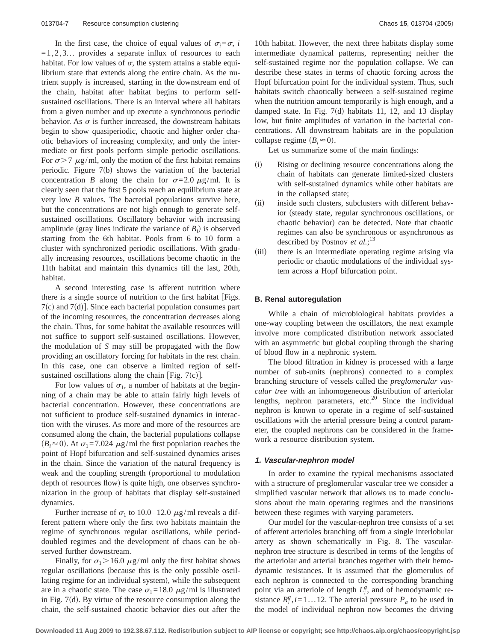In the first case, the choice of equal values of  $\sigma_i = \sigma$ , *i*  $=1,2,3...$  provides a separate influx of resources to each habitat. For low values of  $\sigma$ , the system attains a stable equilibrium state that extends along the entire chain. As the nutrient supply is increased, starting in the downstream end of the chain, habitat after habitat begins to perform selfsustained oscillations. There is an interval where all habitats from a given number and up execute a synchronous periodic behavior. As  $\sigma$  is further increased, the downstream habitats begin to show quasiperiodic, chaotic and higher order chaotic behaviors of increasing complexity, and only the intermediate or first pools perform simple periodic oscillations. For  $\sigma$  > 7  $\mu$ g/ml, only the motion of the first habitat remains periodic. Figure  $7(b)$  shows the variation of the bacterial concentration *B* along the chain for  $\sigma = 2.0 \mu g/ml$ . It is clearly seen that the first 5 pools reach an equilibrium state at very low *B* values. The bacterial populations survive here, but the concentrations are not high enough to generate selfsustained oscillations. Oscillatory behavior with increasing amplitude (gray lines indicate the variance of  $B_i$ ) is observed starting from the 6th habitat. Pools from 6 to 10 form a cluster with synchronized periodic oscillations. With gradually increasing resources, oscillations become chaotic in the 11th habitat and maintain this dynamics till the last, 20th, habitat.

A second interesting case is afferent nutrition where there is a single source of nutrition to the first habitat  $[Figs.$  $7(c)$  and  $7(d)$ ]. Since each bacterial population consumes part of the incoming resources, the concentration decreases along the chain. Thus, for some habitat the available resources will not suffice to support self-sustained oscillations. However, the modulation of *S* may still be propagated with the flow providing an oscillatory forcing for habitats in the rest chain. In this case, one can observe a limited region of selfsustained oscillations along the chain [Fig.  $7(c)$ ].

For low values of  $\sigma_1$ , a number of habitats at the beginning of a chain may be able to attain fairly high levels of bacterial concentration. However, these concentrations are not sufficient to produce self-sustained dynamics in interaction with the viruses. As more and more of the resources are consumed along the chain, the bacterial populations collapse  $(B<sub>i</sub> \approx 0)$ . At  $\sigma_1 = 7.024 \mu g/ml$  the first population reaches the point of Hopf bifurcation and self-sustained dynamics arises in the chain. Since the variation of the natural frequency is weak and the coupling strength (proportional to modulation depth of resources flow) is quite high, one observes synchronization in the group of habitats that display self-sustained dynamics.

Further increase of  $\sigma_1$  to 10.0–12.0  $\mu$ g/ml reveals a different pattern where only the first two habitats maintain the regime of synchronous regular oscillations, while perioddoubled regimes and the development of chaos can be observed further downstream.

Finally, for  $\sigma_1$  > 16.0  $\mu$ g/ml only the first habitat shows regular oscillations (because this is the only possible oscillating regime for an individual system), while the subsequent are in a chaotic state. The case  $\sigma_1=18.0 \ \mu g/ml$  is illustrated in Fig.  $7(d)$ . By virtue of the resource consumption along the chain, the self-sustained chaotic behavior dies out after the 10th habitat. However, the next three habitats display some intermediate dynamical patterns, representing neither the self-sustained regime nor the population collapse. We can describe these states in terms of chaotic forcing across the Hopf bifurcation point for the individual system. Thus, such habitats switch chaotically between a self-sustained regime when the nutrition amount temporarily is high enough, and a damped state. In Fig.  $7(d)$  habitats 11, 12, and 13 display low, but finite amplitudes of variation in the bacterial concentrations. All downstream habitats are in the population collapse regime  $(B<sub>i</sub> \approx 0)$ .

Let us summarize some of the main findings:

- (i) Rising or declining resource concentrations along the chain of habitats can generate limited-sized clusters with self-sustained dynamics while other habitats are in the collapsed state;
- (ii) inside such clusters, subclusters with different behavior (steady state, regular synchronous oscillations, or chaotic behavior) can be detected. Note that chaotic regimes can also be synchronous or asynchronous as described by Postnov *et al.*; 13
- (iii) there is an intermediate operating regime arising via periodic or chaotic modulations of the individual system across a Hopf bifurcation point.

### **B. Renal autoregulation**

While a chain of microbiological habitats provides a one-way coupling between the oscillators, the next example involve more complicated distribution network associated with an asymmetric but global coupling through the sharing of blood flow in a nephronic system.

The blood filtration in kidney is processed with a large number of sub-units (nephrons) connected to a complex branching structure of vessels called the *preglomerular vascular tree* with an inhomogeneous distribution of arteriolar lengths, nephron parameters, etc.<sup>20</sup> Since the individual nephron is known to operate in a regime of self-sustained oscillations with the arterial pressure being a control parameter, the coupled nephrons can be considered in the framework a resource distribution system.

#### **1. Vascular-nephron model**

In order to examine the typical mechanisms associated with a structure of preglomerular vascular tree we consider a simplified vascular network that allows us to made conclusions about the main operating regimes and the transitions between these regimes with varying parameters.

Our model for the vascular-nephron tree consists of a set of afferent arterioles branching off from a single interlobular artery as shown schematically in Fig. 8. The vascularnephron tree structure is described in terms of the lengths of the arteriolar and arterial branches together with their hemodynamic resistances. It is assumed that the glomerulus of each nephron is connected to the corresponding branching point via an arteriole of length  $L_i^g$ , and of hemodynamic resistance  $R_i^g$ ,  $i=1...12$ . The arterial pressure  $P_a$  to be used in the model of individual nephron now becomes the driving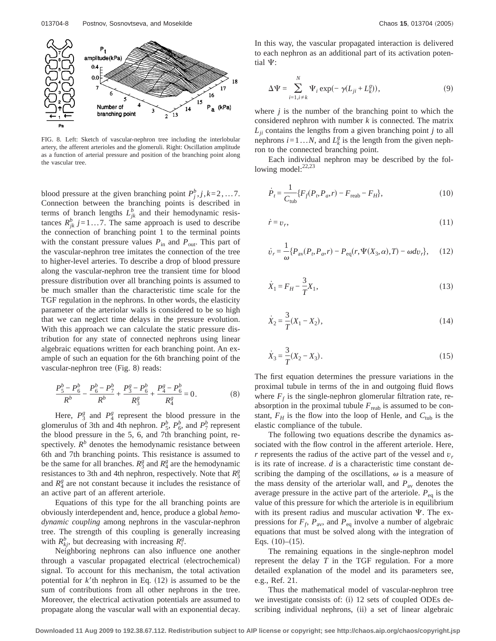

FIG. 8. Left: Sketch of vascular-nephron tree including the interlobular artery, the afferent arterioles and the glomeruli. Right: Oscillation amplitude as a function of arterial pressure and position of the branching point along the vascular tree.

blood pressure at the given branching point  $P_j^b$ ,  $j, k=2, \ldots, 7$ . Connection between the branching points is described in terms of branch lengths  $L_{jk}^b$  and their hemodynamic resistances  $R_{jk}^b$  *j*=1...7. The same approach is used to describe the connection of branching point 1 to the terminal points with the constant pressure values  $P_{\text{in}}$  and  $P_{\text{out}}$ . This part of the vascular-nephron tree imitates the connection of the tree to higher-level arteries. To describe a drop of blood pressure along the vascular-nephron tree the transient time for blood pressure distribution over all branching points is assumed to be much smaller than the characteristic time scale for the TGF regulation in the nephrons. In other words, the elasticity parameter of the arteriolar walls is considered to be so high that we can neglect time delays in the pressure evolution. With this approach we can calculate the static pressure distribution for any state of connected nephrons using linear algebraic equations written for each branching point. An example of such an equation for the 6th branching point of the vascular-nephron tree (Fig. 8) reads:

$$
\frac{P_5^b - P_6^b}{R^b} - \frac{P_6^b - P_7^b}{R^b} + \frac{P_3^g - P_6^b}{R_3^g} + \frac{P_4^g - P_6^b}{R_4^g} = 0.
$$
 (8)

Here,  $P_3^g$  and  $P_4^g$  represent the blood pressure in the glomerulus of 3th and 4th nephron.  $P_5^b$ ,  $P_6^b$ , and  $P_7^b$  represent the blood pressure in the 5, 6, and 7th branching point, respectively.  $R^b$  denotes the hemodynamic resistance between 6th and 7th branching points. This resistance is assumed to be the same for all branches.  $R_3^g$  and  $R_4^g$  are the hemodynamic resistances to 3th and 4th nephron, respectively. Note that  $R_3^g$ and  $R_4^g$  are not constant because it includes the resistance of an active part of an afferent arteriole.

Equations of this type for the all branching points are obviously interdependent and, hence, produce a global *hemodynamic coupling* among nephrons in the vascular-nephron tree. The strength of this coupling is generally increasing with  $R_{kj}^b$ , but decreasing with increasing  $R_i^g$ .

Neighboring nephrons can also influence one another through a vascular propagated electrical (electrochemical) signal. To account for this mechanism, the total activation potential for  $k$ <sup>th</sup> nephron in Eq.  $(12)$  is assumed to be the sum of contributions from all other nephrons in the tree. Moreover, the electrical activation potentials are assumed to propagate along the vascular wall with an exponential decay.

In this way, the vascular propagated interaction is delivered to each nephron as an additional part of its activation potential  $\Psi$ :

$$
\Delta \Psi = \sum_{i=1, i \neq k}^{N} \Psi_i \exp(-\gamma (L_{ji} + L_k^g)), \qquad (9)
$$

where  $j$  is the number of the branching point to which the considered nephron with number *k* is connected. The matrix  $L_{ii}$  contains the lengths from a given branching point *j* to all nephrons  $i = 1...N$ , and  $L_k^g$  is the length from the given nephron to the connected branching point.

Each individual nephron may be described by the following model: $22,23$ 

$$
\dot{P}_t = \frac{1}{C_{\text{tub}}} \{ F_f(P_t, P_a, r) - F_{\text{reab}} - F_H \},\tag{10}
$$

$$
\dot{r} = v_r,\tag{11}
$$

$$
\dot{v}_r = \frac{1}{\omega} \{ P_{\text{av}}(P_r, P_a, r) - P_{\text{eq}}(r, \Psi(X_3, \alpha), T) - \omega dv_r \}, \quad (12)
$$

$$
\dot{X}_1 = F_H - \frac{3}{T} X_1,\tag{13}
$$

$$
\dot{X}_2 = \frac{3}{T}(X_1 - X_2),\tag{14}
$$

$$
\dot{X}_3 = \frac{3}{T}(X_2 - X_3). \tag{15}
$$

The first equation determines the pressure variations in the proximal tubule in terms of the in and outgoing fluid flows where  $F_f$  is the single-nephron glomerular filtration rate, reabsorption in the proximal tubule  $F_{\text{reab}}$  is assumed to be constant,  $F_H$  is the flow into the loop of Henle, and  $C_{\text{tub}}$  is the elastic compliance of the tubule.

The following two equations describe the dynamics associated with the flow control in the afferent arteriole. Here, *r* represents the radius of the active part of the vessel and *v<sup>r</sup>* is its rate of increase. *d* is a characteristic time constant describing the damping of the oscillations,  $\omega$  is a measure of the mass density of the arteriolar wall, and  $P_{av}$  denotes the average pressure in the active part of the arteriole.  $P_{eq}$  is the value of this pressure for which the arteriole is in equilibrium with its present radius and muscular activation  $\Psi$ . The expressions for  $F_f$ ,  $P_{\text{av}}$ , and  $P_{\text{eq}}$  involve a number of algebraic equations that must be solved along with the integration of Eqs.  $(10)–(15)$ .

The remaining equations in the single-nephron model represent the delay *T* in the TGF regulation. For a more detailed explanation of the model and its parameters see, e.g., Ref. 21.

Thus the mathematical model of vascular-nephron tree we investigate consists of: (i) 12 sets of coupled ODEs describing individual nephrons, (ii) a set of linear algebraic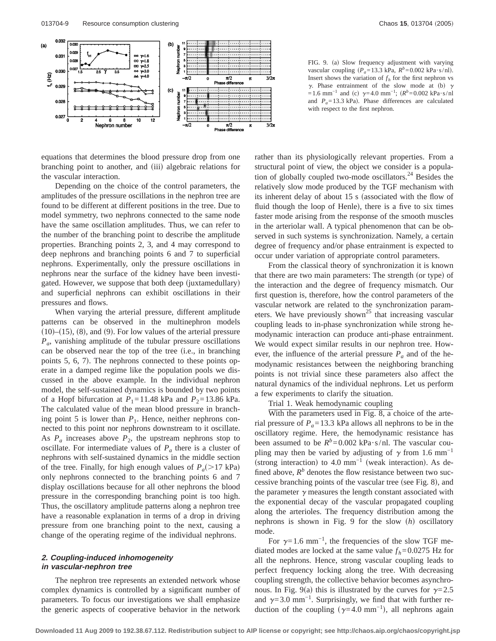

equations that determines the blood pressure drop from one branching point to another, and (iii) algebraic relations for the vascular interaction.

Depending on the choice of the control parameters, the amplitudes of the pressure oscillations in the nephron tree are found to be different at different positions in the tree. Due to model symmetry, two nephrons connected to the same node have the same oscillation amplitudes. Thus, we can refer to the number of the branching point to describe the amplitude properties. Branching points 2, 3, and 4 may correspond to deep nephrons and branching points 6 and 7 to superficial nephrons. Experimentally, only the pressure oscillations in nephrons near the surface of the kidney have been investigated. However, we suppose that both deep (juxtamedullary) and superficial nephrons can exhibit oscillations in their pressures and flows.

When varying the arterial pressure, different amplitude patterns can be observed in the multinephron models  $(10)$ – $(15)$ ,  $(8)$ , and  $(9)$ . For low values of the arterial pressure *Pa*, vanishing amplitude of the tubular pressure oscillations can be observed near the top of the tree (i.e., in branching points  $5, 6, 7$ . The nephrons connected to these points operate in a damped regime like the population pools we discussed in the above example. In the individual nephron model, the self-sustained dynamics is bounded by two points of a Hopf bifurcation at  $P_1$ =11.48 kPa and  $P_2$ =13.86 kPa. The calculated value of the mean blood pressure in branching point 5 is lower than  $P_1$ . Hence, neither nephrons connected to this point nor nephrons downstream to it oscillate. As  $P_a$  increases above  $P_2$ , the upstream nephrons stop to oscillate. For intermediate values of  $P_a$  there is a cluster of nephrons with self-sustained dynamics in the middle section of the tree. Finally, for high enough values of  $P_a(>17 \text{ kPa})$ only nephrons connected to the branching points 6 and 7 display oscillations because for all other nephrons the blood pressure in the corresponding branching point is too high. Thus, the oscillatory amplitude patterns along a nephron tree have a reasonable explanation in terms of a drop in driving pressure from one branching point to the next, causing a change of the operating regime of the individual nephrons.

# **2. Coupling-induced inhomogeneity in vascular-nephron tree**

The nephron tree represents an extended network whose complex dynamics is controlled by a significant number of parameters. To focus our investigations we shall emphasize the generic aspects of cooperative behavior in the network

FIG. 9. (a) Slow frequency adjustment with varying vascular coupling  $(P_a=13.3 \text{ kPa}, R^b=0.002 \text{ kPa}\cdot\text{s/nl}).$ Insert shows the variation of  $f<sub>h</sub>$  for the first nephron vs  $\gamma$ . Phase entrainment of the slow mode at (b)  $\gamma$  $=1.6$  mm<sup>-1</sup> and (c)  $\gamma$ =4.0 mm<sup>-1</sup>;  $(R<sup>b</sup>=0.002$  kPa·s/nl and  $P_a = 13.3$  kPa). Phase differences are calculated with respect to the first nephron.

rather than its physiologically relevant properties. From a structural point of view, the object we consider is a population of globally coupled two-mode oscillators.24 Besides the relatively slow mode produced by the TGF mechanism with its inherent delay of about 15 s (associated with the flow of fluid though the loop of Henle), there is a five to six times faster mode arising from the response of the smooth muscles in the arteriolar wall. A typical phenomenon that can be observed in such systems is synchronization. Namely, a certain degree of frequency and/or phase entrainment is expected to occur under variation of appropriate control parameters.

From the classical theory of synchronization it is known that there are two main parameters: The strength (or type) of the interaction and the degree of frequency mismatch. Our first question is, therefore, how the control parameters of the vascular network are related to the synchronization parameters. We have previously shown<sup>25</sup> that increasing vascular coupling leads to in-phase synchronization while strong hemodynamic interaction can produce anti-phase entrainment. We would expect similar results in our nephron tree. However, the influence of the arterial pressure  $P_a$  and of the hemodynamic resistances between the neighboring branching points is not trivial since these parameters also affect the natural dynamics of the individual nephrons. Let us perform a few experiments to clarify the situation.

Trial 1. Weak hemodynamic coupling

With the parameters used in Fig. 8, a choice of the arterial pressure of  $P_a = 13.3$  kPa allows all nephrons to be in the oscillatory regime. Here, the hemodynamic resistance has been assumed to be  $R^b = 0.002$  kPa·s/nl. The vascular coupling may then be varied by adjusting of  $\gamma$  from 1.6 mm<sup>-1</sup> (strong interaction) to 4.0 mm<sup>-1</sup> (weak interaction). As defined above,  $R^b$  denotes the flow resistance between two successive branching points of the vascular tree (see Fig. 8), and the parameter  $\gamma$  measures the length constant associated with the exponential decay of the vascular propagated coupling along the arterioles. The frequency distribution among the nephrons is shown in Fig. 9 for the slow (h) oscillatory mode.

For  $\gamma=1.6$  mm<sup>-1</sup>, the frequencies of the slow TGF mediated modes are locked at the same value  $f_h$ =0.0275 Hz for all the nephrons. Hence, strong vascular coupling leads to perfect frequency locking along the tree. With decreasing coupling strength, the collective behavior becomes asynchronous. In Fig. 9(a) this is illustrated by the curves for  $\gamma = 2.5$ and  $\gamma$ =3.0 mm<sup>-1</sup>. Surprisingly, we find that with further reduction of the coupling ( $\gamma$ =4.0 mm<sup>-1</sup>), all nephrons again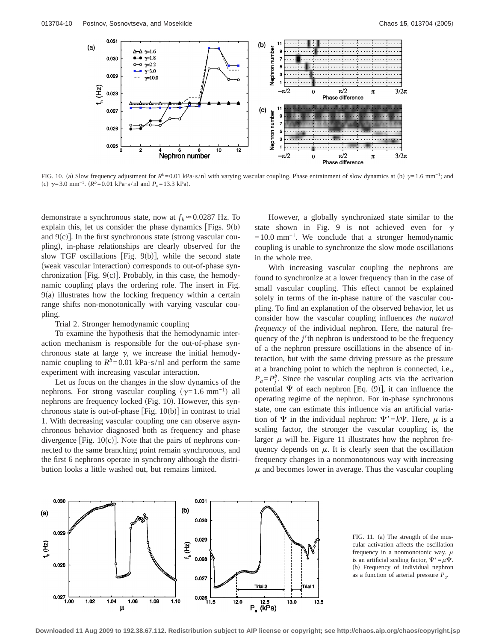

FIG. 10. (a) Slow frequency adjustment for  $R^b = 0.01$  kPa·s/nl with varying vascular coupling. Phase entrainment of slow dynamics at (b)  $\gamma = 1.6$  mm<sup>-1</sup>; and (c)  $\gamma = 3.0 \text{ mm}^{-1}$ .  $(R^b = 0.01 \text{ kPa} \cdot \text{s/nl} \text{ and } P_a = 13.3 \text{ kPa}$ .

demonstrate a synchronous state, now at  $f_h \approx 0.0287$  Hz. To explain this, let us consider the phase dynamics  $[Figs. 9(b)]$ and  $9(c)$ ]. In the first synchronous state (strong vascular coupling), in-phase relationships are clearly observed for the slow TGF oscillations [Fig.  $9(b)$ ], while the second state (weak vascular interaction) corresponds to out-of-phase synchronization [Fig.  $9(c)$ ]. Probably, in this case, the hemodynamic coupling plays the ordering role. The insert in Fig.  $9(a)$  illustrates how the locking frequency within a certain range shifts non-monotonically with varying vascular coupling.

#### Trial 2. Stronger hemodynamic coupling

To examine the hypothesis that the hemodynamic interaction mechanism is responsible for the out-of-phase synchronous state at large  $\gamma$ , we increase the initial hemodynamic coupling to  $R^b = 0.01$  kPa·s/nl and perform the same experiment with increasing vascular interaction.

Let us focus on the changes in the slow dynamics of the nephrons. For strong vascular coupling  $(\gamma=1.6 \text{ mm}^{-1})$  all nephrons are frequency locked (Fig. 10). However, this synchronous state is out-of-phase [Fig.  $10(b)$ ] in contrast to trial 1. With decreasing vascular coupling one can observe asynchronous behavior diagnosed both as frequency and phase divergence [Fig.  $10(c)$ ]. Note that the pairs of nephrons connected to the same branching point remain synchronous, and the first 6 nephrons operate in synchrony although the distribution looks a little washed out, but remains limited.

However, a globally synchronized state similar to the state shown in Fig. 9 is not achieved even for  $\gamma$  $=10.0$  mm<sup>-1</sup>. We conclude that a stronger hemodynamic coupling is unable to synchronize the slow mode oscillations in the whole tree.

With increasing vascular coupling the nephrons are found to synchronize at a lower frequency than in the case of small vascular coupling. This effect cannot be explained solely in terms of the in-phase nature of the vascular coupling. To find an explanation of the observed behavior, let us consider how the vascular coupling influences *the natural frequency* of the individual nephron. Here, the natural frequency of the  $j$ <sup> $\prime$ </sup>th nephron is understood to be the frequency of a the nephron pressure oscillations in the absence of interaction, but with the same driving pressure as the pressure at a branching point to which the nephron is connected, i.e.,  $P_a = P_j^b$ . Since the vascular coupling acts via the activation potential  $\Psi$  of each nephron [Eq. (9)], it can influence the operating regime of the nephron. For in-phase synchronous state, one can estimate this influence via an artificial variation of  $\Psi$  in the individual nephron:  $\Psi' = k\Psi$ . Here,  $\mu$  is a scaling factor, the stronger the vascular coupling is, the larger  $\mu$  will be. Figure 11 illustrates how the nephron frequency depends on  $\mu$ . It is clearly seen that the oscillation frequency changes in a nonmonotonous way with increasing  $\mu$  and becomes lower in average. Thus the vascular coupling





**Downloaded 11 Aug 2009 to 192.38.67.112. Redistribution subject to AIP license or copyright; see http://chaos.aip.org/chaos/copyright.jsp**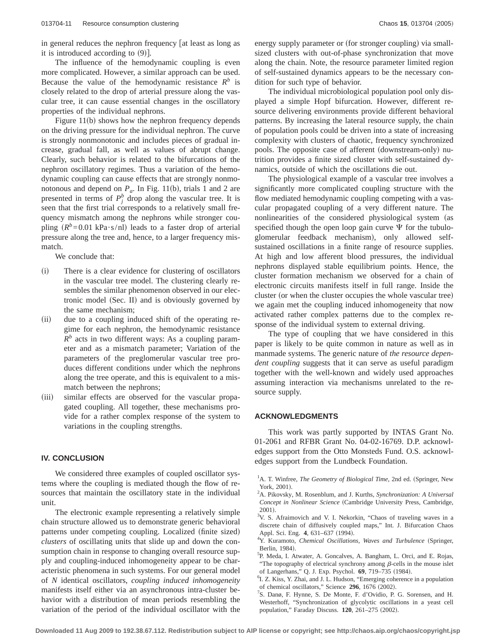in general reduces the nephron frequency [at least as long as it is introduced according to  $(9)$ ].

The influence of the hemodynamic coupling is even more complicated. However, a similar approach can be used. Because the value of the hemodynamic resistance  $R^b$  is closely related to the drop of arterial pressure along the vascular tree, it can cause essential changes in the oscillatory properties of the individual nephrons.

Figure  $11(b)$  shows how the nephron frequency depends on the driving pressure for the individual nephron. The curve is strongly nonmonotonic and includes pieces of gradual increase, gradual fall, as well as values of abrupt change. Clearly, such behavior is related to the bifurcations of the nephron oscillatory regimes. Thus a variation of the hemodynamic coupling can cause effects that are strongly nonmonotonous and depend on  $P_a$ . In Fig. 11(b), trials 1 and 2 are presented in terms of  $P_j^b$  drop along the vascular tree. It is seen that the first trial corresponds to a relatively small frequency mismatch among the nephrons while stronger coupling  $(R^b=0.01 \text{ kPa}\cdot\text{s}/\text{n}$  leads to a faster drop of arterial pressure along the tree and, hence, to a larger frequency mismatch.

We conclude that:

- (i) There is a clear evidence for clustering of oscillators in the vascular tree model. The clustering clearly resembles the similar phenomenon observed in our electronic model (Sec. II) and is obviously governed by the same mechanism;
- (ii) due to a coupling induced shift of the operating regime for each nephron, the hemodynamic resistance  $R^b$  acts in two different ways: As a coupling parameter and as a mismatch parameter; Variation of the parameters of the preglomerular vascular tree produces different conditions under which the nephrons along the tree operate, and this is equivalent to a mismatch between the nephrons;
- (iii) similar effects are observed for the vascular propagated coupling. All together, these mechanisms provide for a rather complex response of the system to variations in the coupling strengths.

# **IV. CONCLUSION**

We considered three examples of coupled oscillator systems where the coupling is mediated though the flow of resources that maintain the oscillatory state in the individual unit.

The electronic example representing a relatively simple chain structure allowed us to demonstrate generic behavioral patterns under competing coupling. Localized (finite sized) *clusters* of oscillating units that slide up and down the consumption chain in response to changing overall resource supply and coupling-induced inhomogeneity appear to be characteristic phenomena in such systems. For our general model of *N* identical oscillators, *coupling induced inhomogeneity* manifests itself either via an asynchronous intra-cluster behavior with a distribution of mean periods resembling the variation of the period of the individual oscillator with the energy supply parameter or (for stronger coupling) via smallsized clusters with out-of-phase synchronization that move along the chain. Note, the resource parameter limited region of self-sustained dynamics appears to be the necessary condition for such type of behavior.

The individual microbiological population pool only displayed a simple Hopf bifurcation. However, different resource delivering environments provide different behavioral patterns. By increasing the lateral resource supply, the chain of population pools could be driven into a state of increasing complexity with clusters of chaotic, frequency synchronized pools. The opposite case of afferent (downstream-only) nutrition provides a finite sized cluster with self-sustained dynamics, outside of which the oscillations die out.

The physiological example of a vascular tree involves a significantly more complicated coupling structure with the flow mediated hemodynamic coupling competing with a vascular propagated coupling of a very different nature. The nonlinearities of the considered physiological system (as specified though the open loop gain curve  $\Psi$  for the tubuloglomerular feedback mechanism), only allowed selfsustained oscillations in a finite range of resource supplies. At high and low afferent blood pressures, the individual nephrons displayed stable equilibrium points. Hence, the cluster formation mechanism we observed for a chain of electronic circuits manifests itself in full range. Inside the cluster (or when the cluster occupies the whole vascular tree) we again met the coupling induced inhomogeneity that now activated rather complex patterns due to the complex response of the individual system to external driving.

The type of coupling that we have considered in this paper is likely to be quite common in nature as well as in manmade systems. The generic nature of *the resource dependent coupling* suggests that it can serve as useful paradigm together with the well-known and widely used approaches assuming interaction via mechanisms unrelated to the resource supply.

#### **ACKNOWLEDGMENTS**

This work was partly supported by INTAS Grant No. 01-2061 and RFBR Grant No. 04-02-16769. D.P. acknowledges support from the Otto Monsteds Fund. O.S. acknowledges support from the Lundbeck Foundation.

- A. Pikovsky, M. Rosenblum, and J. Kurths, *Synchronization: A Universal Concept in Nonlinear Science* (Cambridge University Press, Cambridge,  $2001$ ).
- <sup>3</sup>V. S. Afraimovich and V. I. Nekorkin, "Chaos of traveling waves in a discrete chain of diffusively coupled maps," Int. J. Bifurcation Chaos Appl. Sci. Eng. 4, 631-637 (1994).
- <sup>4</sup>Y. Kuramoto, *Chemical Oscillations, Waves and Turbulence* (Springer, Berlin, 1984).
- <sup>5</sup>P. Meda, I. Atwater, A. Goncalves, A. Bangham, L. Orci, and E. Rojas, "The topography of electrical synchrony among  $\beta$ -cells in the mouse islet of Langerhans," Q. J. Exp. Psychol. 69, 719-735 (1984).
- <sup>6</sup>I. Z. Kiss, Y. Zhai, and J. L. Hudson, "Emerging coherence in a population of chemical oscillators," Science 296, 1676 (2002).
- S. Danø, F. Hynne, S. De Monte, F. d'Ovidio, P. G. Sorensen, and H. Westerhoff, "Synchronization of glycolytic oscillations in a yeast cell population," Faraday Discuss. **120**, 261-275 (2002).

<sup>&</sup>lt;sup>1</sup>A. T. Winfree, *The Geometry of Biological Time*, 2nd ed. (Springer, New York, 2001).